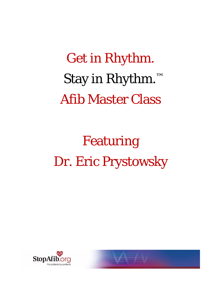Get in Rhythm. Stay in Rhythm.™ Afib Master Class

Featuring Dr. Eric Prystowsky



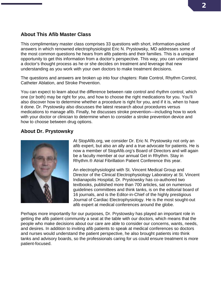## **About This Afib Master Class**

This complimentary master class comprises 33 questions with short, information-packed answers in which renowned electrophysiologist Eric N. Prystowsky, MD addresses some of the most common questions he hears from afib patients and their families. This is a unique opportunity to get this information from a doctor's perspective. This way, you can understand a doctor's thought process as he or she decides on treatment and leverage that new understanding as you work with your own doctors to make treatment decisions.

The questions and answers are broken up into four chapters: Rate Control, Rhythm Control, Catheter Ablation, and Stroke Prevention.

You can expect to learn about the difference between rate control and rhythm control, which one (or both) may be right for you, and how to choose the right medications for you. You'll also discover how to determine whether a procedure is right for you, and if it is, when to have it done. Dr. Prystowsky also discusses the latest research about procedures versus medications to manage afib. Finally, he discusses stroke prevention—including how to work with your doctor or clinician to determine when to consider a stroke prevention device and how to choose between drug options.

## **About Dr. Prystowsky**



At StopAfib.org, we consider Dr. Eric N. Prystowsky not only an afib expert, but also an ally and a true advocate for patients. He is now a member of StopAfib.org's Board of Directors and will again be a faculty member at our annual Get in Rhythm. Stay in Rhythm.® Atrial Fibrillation Patient Conference this year.

An electrophysiologist with St. Vincent Medical Group and Director of the Clinical Electrophysiology Laboratory at St. Vincent Indianapolis Hospital, Dr. Prystowsky has co-authored two textbooks, published more than 700 articles, sat on numerous guidelines committees and think tanks, is on the editorial board of 16 journals, and is the Editor-in-Chief of the highly prestigious Journal of Cardiac Electrophysiology. He is the most sought-out afib expert at medical conferences around the globe.

Perhaps more importantly for our purposes, Dr. Prystowsky has played an important role in getting the afib patient community a seat at the table with our doctors, which means that the people who make decisions about our care are able to consider our concerns, wants, needs, and desires. In addition to inviting afib patients to speak at medical conferences so doctors and nurses would understand the patient perspective, he also brought patients into think tanks and advisory boards, so the professionals caring for us could ensure treatment is more patient-focused.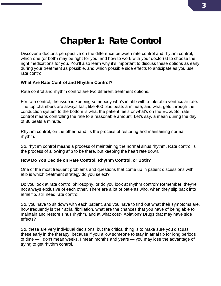# **Chapter 1: Rate Control**

Discover a doctor's perspective on the difference between rate control and rhythm control, which one (or both) may be right for you, and how to work with your doctor(s) to choose the right medications for you. You'll also learn why it's important to discuss these options as early during your treatment as possible, and which possible side effects to anticipate as you use rate control.

#### **What Are Rate Control and Rhythm Control?**

Rate control and rhythm control are two different treatment options.

For rate control, the issue is keeping somebody who's in afib with a tolerable ventricular rate. The top chambers are always fast, like 400 plus beats a minute, and what gets through the conduction system to the bottom is what the patient feels or what's on the ECG. So, rate control means controlling the rate to a reasonable amount. Let's say, a mean during the day of 80 beats a minute.

Rhythm control, on the other hand, is the process of restoring and maintaining normal rhythm.

So, rhythm control means a process of maintaining the normal sinus rhythm. Rate control is the process of allowing afib to be there, but keeping the heart rate down.

#### **How Do You Decide on Rate Control, Rhythm Control, or Both?**

One of the most frequent problems and questions that come up in patient discussions with afib is which treatment strategy do you select?

Do you look at rate control philosophy, or do you look at rhythm control? Remember, they're not always exclusive of each other. There are a lot of patients who, when they slip back into atrial fib, still need rate control.

So, you have to sit down with each patient, and you have to find out what their symptoms are, how frequently is their atrial fibrillation, what are the chances that you have of being able to maintain and restore sinus rhythm, and at what cost? Ablation? Drugs that may have side effects?

So, these are very individual decisions, but the critical thing is to make sure you discuss these early in the therapy, because if you allow someone to stay in atrial fib for long periods of time — I don't mean weeks, I mean months and years — you may lose the advantage of trying to get rhythm control.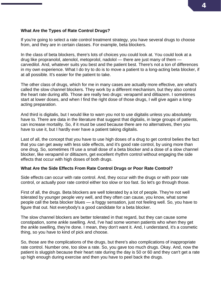#### **What Are the Types of Rate Control Drugs?**

If you're going to select a rate control treatment strategy, you have several drugs to choose from, and they are in certain classes. For example, beta blockers.

In the class of beta blockers, there's lots of choices you could look at. You could look at a drug like propranolol, atenolol, metoprolol, nadolol — there are just many of them carvedilol. And, whatever suits you best and the patient best. There's not a ton of differences in my own experience. What I do try to do is to move a patient to a long-acting beta blocker, if at all possible. It's easier for the patient to take.

The other class of drugs, which for me in many cases are actually more effective, are what's called the slow channel blockers. They work by a different mechanism, but they also control the heart rate during afib. Those are really two drugs: verapamil and diltiazem. I sometimes start at lower doses, and when I find the right dose of those drugs, I will give again a longacting preparation.

And third is digitalis, but I would like to warn you not to use digitalis unless you absolutely have to. There are data in the literature that suggest that digitalis, in large groups of patients, can increase mortality. So, if it must be used because there are no alternatives, then you have to use it, but I hardly ever have a patient taking digitalis.

Last of all, the concept that you have to use high doses of a drug to get control belies the fact that you can get away with less side effects, and it's good rate control, by using more than one drug. So, sometimes I'll use a small dose of a beta blocker and a dose of a slow channel blocker, like verapamil or diltiazem, get excellent rhythm control without engaging the side effects that occur with high doses of both drugs.

#### **What Are the Side Effects From Rate Control Drugs or Poor Rate Control?**

Side effects can occur with rate control. And, they occur with the drugs or with poor rate control, or actually poor rate control either too slow or too fast. So let's go through those.

First of all, the drugs. Beta blockers are well tolerated by a lot of people. They're not well tolerated by younger people very well, and they often can cause, you know, what some people call the beta blocker blues — a foggy sensation, just not feeling well. So, you have to figure that out. Not everybody's a good candidate for a beta blocker.

The slow channel blockers are better tolerated in that regard, but they can cause some constipation, some ankle swelling. And, I've had some women patients who when they get the ankle swelling, they're done. I mean, they don't want it. And, I understand, it's a cosmetic thing, so you have to kind of pick and choose.

So, those are the complications of the drugs, but there's also complications of inappropriate rate control. Number one, too slow a rate. So, you gave too much drugs. Okay. And, now the patient is sluggish because their heart rate during the day is 50 or 60 and they can't get a rate up high enough during exercise and then you have to peel back the drugs.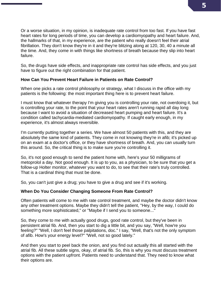Or a worse situation, in my opinion, is inadequate rate control from too fast. If you have fast heart rates for long periods of time, you can develop a cardiomyopathy and heart failure. And, the hallmarks of that, in my experience, are the patient who really doesn't feel their atrial fibrillation. They don't know they're in it and they're blitzing along at 120, 30, 40 a minute all the time. And, they come in with things like shortness of breath because they slip into heart failure.

So, the drugs have side effects, and inappropriate rate control has side effects, and you just have to figure out the right combination for that patient.

#### **How Can You Prevent Heart Failure in Patients on Rate Control?**

When one picks a rate control philosophy or strategy, what I discuss in the office with my patients is the following: the most important thing here is to prevent heart failure.

I must know that whatever therapy I'm giving you is controlling your rate, not overdoing it, but is controlling your rate, to the point that your heart rates aren't running rapid all day long because I want to avoid a situation of decreased heart pumping and heart failure. It's a condition called tachycardia-mediated cardiomyopathy. If caught early enough, in my experience, it's almost always reversible.

I'm currently putting together a series. We have almost 50 patients with this, and they are absolutely the same kind of patients. They come in not knowing they're in afib; it's picked up on an exam at a doctor's office, or they have shortness of breath. And, you can usually turn this around. So, the critical thing is to make sure you're controlling it.

So, it's not good enough to send the patient home with, here's your 50 milligrams of metoprolol a day. Not good enough. It is up to you, as a physician, to be sure that you get a follow-up Holter monitor, whatever you want to do, to see that their rate's truly controlled. That is a cardinal thing that must be done.

So, you can't just give a drug; you have to give a drug and see if it's working.

#### **When Do You Consider Changing Someone From Rate Control?**

Often patients will come to me with rate control treatment, and maybe the doctor didn't know any other treatment options. Maybe they didn't tell the patient, "Hey, by the way, I could do something more sophisticated," or "Maybe if I send you to someone..."

So, they come to me with actually good drugs, good rate control, but they've been in persistent atrial fib. And, then you start to dig a little bit, and you say, "Well, how're you feeling?" "Well, I don't feel those palpitations, doc." I say, "Well, that's not the only symptom of afib. How's your energy level?" "Well, not so good lately."

And then you start to peel back the onion, and you find out actually this all started with the atrial fib. All these subtle signs, okay, of atrial fib. So, this is why you must discuss treatment options with the patient upfront. Patients need to understand that. They need to know what their options are.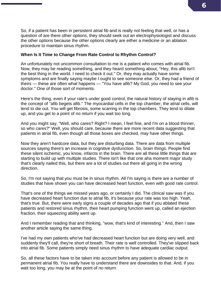So, if a patient has been in persistent atrial fib and is really not feeling that well, or has a question of are there other options, they should seek out an electrophysiologist and discuss the other options because the other options clearly are either a medicine or an ablation procedure to maintain sinus rhythm.

#### **When Is It Time to Change From Rate Control to Rhythm Control?**

An unfortunately not uncommon consultation to me is a patient who comes with atrial fib. Now, they may be reading something, and they heard something about, "Hey, this afib isn't the best thing in the world. I need to check it out." Or, they may actually have some symptoms and are finally saying maybe I ought to see someone else. Or, they had a friend of theirs — these are often what happens — "You have afib? My God, you need to see your doctor." One of those sort of moments.

Here's the thing, even if your rate's under good control, the natural history of staying in afib is the concept of "afib begets afib." The myocardial cells in the top chamber, the atrial cells, will tend to die out. You will get fibrosis, some scarring in the top chambers. They tend to dilate up, and you get to a point of no return if you wait too long.

And you might say, "Well, who cares? Right? I mean, I feel fine, and I'm on a blood thinner, so who cares?" Well, you should care, because there are more recent data suggesting that patients in atrial fib, even though all those boxes are checked, may have other things.

Now they aren't hardcore data, but they are disturbing data. There are data from multiple sources saying there's an increase in cognitive dysfunction. So, brain things. People find these silent ischemic, you know, infarcts in the brain. There are all these little things that are starting to build up with multiple studies. There isn't like that one aha moment major study that's clearly nailed this, but there are a lot of studies out there all going in the wrong direction.

So, I'm not saying that you must be in sinus rhythm. All I'm saying is there are a number of studies that have shown you can have decreased heart function, even with good rate control.

That's one of the things we missed years ago, or certainly I did. The clinical saw was if you have decreased heart function due to atrial fib, it's because your rate was too high. Yeah, that's true. But, there were early signs a couple of decades ago that if you ablated these patients and restored sinus rhythm, their heart pumping function went up, called an ejection fraction, their squeezing ability went up.

And I remember reading that and thinking, "wow, that's kind of interesting." And, then I saw another article saying the same thing.

I've had my own patients who've had decreased heart function but are doing very well, and suddenly they'll call, they're short of breath. Their rate is well controlled. They've slipped back into atrial fib. Some patients simply need sinus rhythm to have adequate cardiac output.

So, all these factors have to be taken into account before any patient is allowed to be in permanent atrial fib. You really have to understand there are downsides to that. And, if you wait too long, you may be at the point of no return.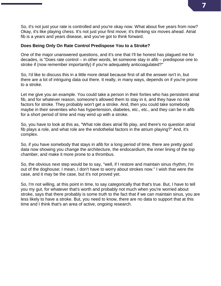So, it's not just your rate is controlled and you're okay now. What about five years from now? Okay, it's like playing chess. It's not just your first move; it's thinking six moves ahead. Atrial fib is a years and years disease, and you've got to think forward.

#### **Does Being Only On Rate Control Predispose You to a Stroke?**

One of the major unanswered questions, and it's one that I'll be honest has plagued me for decades, is "Does rate control – in other words, let someone stay in afib – predispose one to stroke if (now remember importantly) if you're adequately anticoagulated?"

So, I'd like to discuss this in a little more detail because first of all the answer isn't in, but there are a lot of intriguing data out there. It really, in many ways, depends on if you're prone to a stroke.

Let me give you an example. You could take a person in their forties who has persistent atrial fib, and for whatever reason, someone's allowed them to stay in it, and they have no risk factors for stroke. They probably won't get a stroke. And, then you could take somebody maybe in their seventies who has hypertension, diabetes, etc., etc., and they can be in afib for a short period of time and may wind up with a stroke.

So, you have to look at this as, "What role does atrial fib play, and there's no question atrial fib plays a role, and what role are the endothelial factors in the atrium playing?" And, it's complex.

So, if you have somebody that stays in afib for a long period of time, there are pretty good data now showing you change the architecture, the endocardium, the inner lining of the top chamber, and make it more prone to a thrombus.

So, the obvious next step would be to say, "well, if I restore and maintain sinus rhythm, I'm out of the doghouse; I mean, I don't have to worry about strokes now." I wish that were the case, and it may be the case, but it's not proved yet.

So, I'm not willing, at this point in time, to say categorically that that's true. But, I have to tell you my gut, for whatever that's worth and probably not much when you're worried about stroke, says that there probably is some truth to the fact that if we can maintain sinus, you are less likely to have a stroke. But, you need to know, there are no data to support that at this time and I think that's an area of active, ongoing research.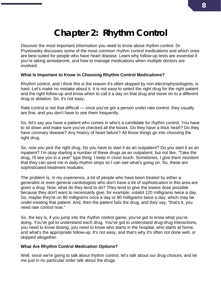# **Chapter 2: Rhythm Control**

Discover the most important information you need to know about rhythm control. Dr. Prystowsky discusses some of the most common rhythm control medications and which ones are best suited for people who have heart disease. Learn why follow-up tests are essential if you're taking amiodarone, and how to manage medications when multiple doctors are involved.

#### **What Is Important to Know in Choosing Rhythm Control Medications?**

Rhythm control, and I think this is the reason it's often skipped by non-electrophysiologists, is hard. Let's make no mistake about it. It is not easy to select the right drug for the right patient and the right follow-up and know when to call it a day on that drug and move on to a different drug or ablation. So, it's not easy.

Rate control is not that difficult — once you've got a person under rate control, they usually are fine, and you don't have to see them frequently.

So, let's say you have a patient who comes in who's a candidate for rhythm control. You have to sit down and make sure you've checked all the boxes. Do they have a thick heart? Do they have coronary disease? Any history of heart failure? All those things go into choosing the right drug.

So, now you pick the right drug. Do you have to start it as an outpatient? Do you start it as an inpatient? I'm okay starting a number of these drugs as an outpatient, but not like, "Take the drug, I'll see you in a year" type thing. I keep in close touch. Sometimes, I give them monitors that they can send me in daily rhythm strips so I can see what's going on. So, these are sophisticated treatment modules.

The problem is, in my experience, a lot of people who have been treated by either a generalist or even general cardiologists who don't have a lot of sophistication in this area are given a drug. Now, what do they tend to do? They tend to give the lowest dose possible because they don't want to necessarily give, for example, sotalol 120 milligrams twice a day. So, maybe they're on 80 milligrams once a day or 80 milligrams twice a day, which may be under-treating that patient. And, then the patient fails the drug, and they say, "that's it, you need rate control now."

So, the key is, if you jump into the rhythm control game, you've got to know what you're doing. You've got to understand each drug. You've got to understand drug-drug interactions, you need to know dosing, you need to know who starts in the hospital, who starts at home, and what's the appropriate follow-up. It's not easy, and that's why it's often not done well, or skipped altogether.

#### **What Are Rhythm Control Medication Options?**

Well, since we're going to talk about rhythm control, let's talk about our drug choices, and let me just in no particular order talk about the drugs.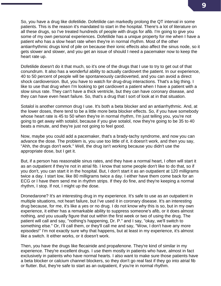So, you have a drug like dofetilide. Dofetilide can markedly prolong the QT interval in some patients. This is the reason it's mandated to start in the hospital. There's a lot of literature on all these drugs, so I've treated hundreds of people with drugs for afib. I'm going to give you some of my own personal experiences. Dofetilide has a unique property for me when I have a patient who has a slow heart rate when they're in normal rhythm. Most of the other antiarrhythmic drugs kind of pile on because their ionic effects also affect the sinus node, so it gets slower and slower, and you get an issue of should I need a pacemaker now to keep the heart rate up.

Dofetilide doesn't do it that much, so it's one of the drugs that I use to try to get out of that conundrum. It also has a wonderful ability to actually cardiovert the patient. In our experience, 40 to 50 percent of people will be spontaneously cardioverted, and you can avoid a direct shock cardioversion. But, you have to watch for drug-drug interactions. That's a big thing. I like to use that drug when I'm looking to get cardiovert a patient when I have a patient with a slow sinus rate. They can't have a thick ventricle, but they can have coronary disease, and they can have even heart failure. So, that's a drug that I sort of look at in that situation.

Sotalol is another common drug I use. It's both a beta blocker and an antiarrhythmic. And, at the lower doses, there tend to be a little more beta blocker effects. So, if you have somebody whose heart rate is 45 to 50 when they're in normal rhythm, I'm just telling you, you're not going to get away with sotalol, because if you give sotalol, now they're going to be 35 to 40 beats a minute, and they're just not going to feel good.

Now, maybe you could add a pacemaker, that's a brady-tachy syndrome, and now you can advance the dose. The problem is, you use too little of it, it doesn't work, and then you say, "Ahh, the drugs don't work." Well, the drug isn't working because you didn't use the appropriate dose, but I get it.

But, if a person has reasonable sinus rates, and they have a normal heart, I often will start it as an outpatient if they're not in atrial fib. I know that some people don't like to do that, so if you don't, you can start it in the hospital. But, I don't start it as an outpatient at 120 milligrams twice a day. I start low, like 80 milligrams twice a day. I either have them come back for an ECG or I have them send me in rhythm strips. If they do fine, and they're keeping a normal rhythm, I stop. If not, I might up the dose.

Dronedarone? It's an interesting drug in my experience. It's safe to use as an outpatient in multiple situations, not heart failure, but I've used it in coronary disease. It's an interesting drug because, for me, it's like a yes or no drug. I do not know why this is so, but in my own experience, it either has a remarkable ability to suppress someone's afib, or it does almost nothing, and you usually figure that out within the first week or two of using the drug. The patient will call and say, "nothing's happening, Dr. P." and I say, "okay, we'll switch to something else." Or, I'll call them, or they'll call me and say, "Wow, I don't have any more episodes!" I'm not exactly sure why that happens, but at least in my experience, it's almost like a switch. It either works, or it doesn't work.

Then, you have the drugs like flecainide and propafenone. They're kind of similar in my experience. They're excellent drugs. I use them mostly in patients who have, almost in fact exclusively in patients who have normal hearts. I also want to make sure those patients have a beta blocker or calcium channel blockers, so they don't go real fast if they go into atrial fib or flutter. But, they're safe to start as an outpatient, if you're in normal rhythm.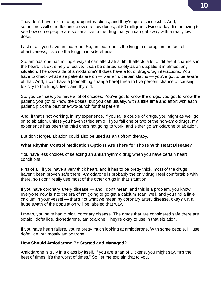They don't have a lot of drug-drug interactions, and they're quite successful. And, I sometimes will start flecainide even at low doses, at 50 milligrams twice a day. It's amazing to see how some people are so sensitive to the drug that you can get away with a really low dose.

Last of all, you have amiodarone. So, amiodarone is the kingpin of drugs in the fact of effectiveness; it's also the kingpin in side effects.

So, amiodarone has multiple ways it can affect atrial fib. It affects a lot of different channels in the heart. It's extremely effective. It can be started safely as an outpatient in almost any situation. The downside of amiodarone? It does have a lot of drug-drug interactions. You have to check what else patients are on — warfarin, certain statins — you've got to be aware of that. And, it can have a [something strange here] three to five percent chance of causing toxicity to the lungs, liver, and thyroid.

So, you can see, you have a lot of choices. You've got to know the drugs, you got to know the patient, you got to know the doses, but you can usually, with a little time and effort with each patient, pick the best one-two-punch for that patient.

And, if that's not working, in my experience, if you fail a couple of drugs, you might as well go on to ablation, unless you haven't tried amio. If you fail one or two of the non-amio drugs, my experience has been the third one's not going to work, and either go amiodarone or ablation.

But don't forget, ablation could also be used as an upfront therapy.

#### **What Rhythm Control Medication Options Are There for Those With Heart Disease?**

You have less choices of selecting an antiarrhythmic drug when you have certain heart conditions.

First of all, if you have a very thick heart, and it has to be pretty thick, most of the drugs haven't been proven safe there. Amiodarone is probably the only drug I feel comfortable with there, so I don't really use most of the other drugs in that situation.

If you have coronary artery disease — and I don't mean, and this is a problem, you know everyone now is into the era of I'm going to go get a calcium scan, well, and you find a little calcium in your vessel — that's not what we mean by coronary artery disease, okay? Or, a huge swath of the population will be labeled that way.

I mean, you have had clinical coronary disease. The drugs that are considered safe there are sotalol, dofetilide, dronedarone, amiodarone. They're okay to use in that situation.

If you have heart failure, you're pretty much looking at amiodarone. With some people, I'll use dofetilide, but mostly amiodarone.

#### **How Should Amiodarone Be Started and Managed?**

Amiodarone is truly in a class by itself. If you are a fan of Dickens, you might say, "It's the best of times, it's the worst of times." So, let me explain that to you.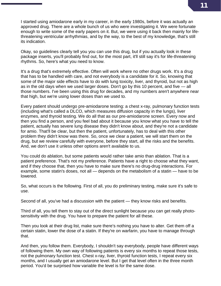I started using amiodarone early in my career, in the early 1980s, before it was actually an approved drug. There are a whole bunch of us who were investigating it. We were fortunate enough to write some of the early papers on it. But, we were using it back then mainly for lifethreatening ventricular arrhythmias, and by the way, to the best of my knowledge, that's still its indication.

Okay, so guidelines clearly tell you you can use this drug, but if you actually look in these package inserts, you'll probably find out, for the most part, it'll still say it's for life-threatening rhythms. So, here's what you need to know.

It's a drug that's extremely effective. Often will work where no other drugs work. It's a drug that has to be handled with care, and not everybody is a candidate for it. So, knowing that some of the major side effects have to do with lung toxicity, liver, and thyroid, but not as high as in the old days when we used larger doses. Don't go by this 10 percent, and five — all those numbers. I've been using this drug for decades, and my numbers aren't anywhere near that high, but we're using lower doses than we used to.

Every patient should undergo pre-amiodarone testing: a chest x-ray, pulmonary function tests (including what's called a DLCO, which measures diffusion capacity in the lungs), liver enzymes, and thyroid testing. We do all that as our pre-amiodarone screen. Every now and then you find a person, and you feel bad about it because you know what you have to tell the patient, actually has severe lung disease they didn't know about, and they're not a candidate for amio. That'll be clear, but then the patient, unfortunately, has to deal with this other problem they didn't know was there. So, once we clear a patient, we will start them on the drug, but we review carefully with everyone, before they start, all the risks and the benefits. And, we don't use it unless other options aren't available to us.

You could do ablation, but some patients would rather take amio than ablation. That is a patient preference. That's not my preference. Patients have a right to choose what they want, and if they choose that, then you have to make sure there's no drug-drug interactions. For example, some statin's doses, not all — depends on the metabolism of a statin — have to be lowered.

So, what occurs is the following. First of all, you do preliminary testing, make sure it's safe to use.

Second of all, you've had a discussion with the patient — they know risks and benefits.

Third of all, you tell them to stay out of the direct sunlight because you can get really photosensitivity with the drug. You have to prepare the patient for all these.

Then you look at their drug list, make sure there's nothing you have to alter. Get them off a certain statin, lower the dose of a statin. If they're on warfarin, you have to manage through that.

And then, you follow them. Everybody, I shouldn't say everybody, people have different ways of following them. My own way of following patients is every six months to repeat those tests, not the pulmonary function test. Chest x-ray, liver, thyroid function tests, I repeat every six months, and I usually get an amiodarone level. But I get that level often in the three month period. You'd be surprised how variable the level is for the same dose.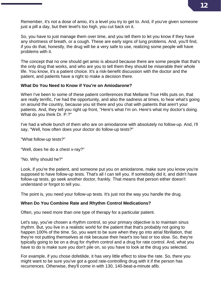Remember, it's not a dose of amio, it's a level you try to get to. And, if you've given someone just a pill a day, but their level's too high, you cut back on it.

So, you have to just manage them over time, and you tell them to let you know if they have any shortness of breath, or a cough. These are early signs of lung problems. And, you'll find, if you do that, honestly, the drug will be a very safe to use, realizing some people will have problems with it.

The concept that no one should get amio is absurd because there are some people that that's the only drug that works, and who are you to tell them they should be miserable their whole life. You know, it's a patient choice. It's a risk-benefit discussion with the doctor and the patient, and patients have a right to make a decision there.

#### **What Do You Need to Know if You're on Amiodarone?**

When I've been to some of these patient conferences that Mellanie True Hills puts on, that are really terrific, I've had the opportunity, and also the sadness at times, to hear what's going on around the country, because you sit there and you chat with patients that aren't your patients. And, they tell you right up front, "Here's what I'm on. Here's what my doctor's doing. What do you think Dr. P.?"

I've had a whole bunch of them who are on amiodarone with absolutely no follow-up. And, I'll say, "Well, how often does your doctor do follow-up tests?"

"What follow-up tests?"

"Well, does he do a chest x-ray?"

"No. Why should he?"

Look, if you're the patient, and someone put you on amiodarone, make sure you know you're supposed to have follow-up tests. That's all I can tell you. If somebody did it, and didn't have follow-up tests, go seek another doctor, frankly. That means that person either doesn't understand or forgot to tell you.

The point is, you need your follow-up tests. It's just not the way you handle the drug.

### **When Do You Combine Rate and Rhythm Control Medications?**

Often, you need more than one type of therapy for a particular patient.

Let's say, you've chosen a rhythm control, so your primary objective is to maintain sinus rhythm. But, you live in a realistic world for the patient that that's probably not going to happen 100% of the time. So, you want to be sure when they go into atrial fibrillation, that they're not putting themselves at risk because their heart's too fast or too slow. So, they're typically going to be on a drug for rhythm control and a drug for rate control. And, what you have to do is make sure you don't pile on, so you have to look at the drug you selected.

For example, if you chose dofetilide, it has very little effect to slow the rate. So, there you might want to be sure you've got a good rate-controlling drug with it if the person has recurrences. Otherwise, they'll come in with 130, 140-beat-a-minute afib.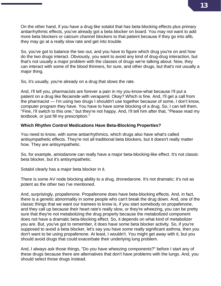On the other hand, if you have a drug like sotalol that has beta-blocking effects plus primary antiarrhythmic effects, you've already got a beta blocker on board. You may not want to add more beta blockers or calcium channel blockers to that patient because if they go into afib, they may go at a really slow rate and get into trouble.

So, you've got to balance the two out, and you have to figure which drug you're on and how do the two drugs interact. Obviously, you want to avoid any kind of drug-drug interaction, but that's not usually a major problem with the classes of drugs we're talking about. Now, they can interact with some of the blood thinners, for sure, and other drugs, but that's not usually a major thing.

So, it's usually, you're already on a drug that slows the rate.

And, I'll tell you, pharmacists are forever a pain in my you-know-what because I'll put a patient on a drug like flecainide with verapamil. Okay? Which is fine. And, I'll get a call from the pharmacist — I'm using two drugs I shouldn't use together because of some, I don't know, computer program they have. You have to have some blocking of a drug. So, I can tell them, "Fine, I'll switch to this one," but they're not happy. And, I'll tell him after that, "Please read my textbook, or just fill my prescription."

#### **Which Rhythm Control Medications Have Beta-Blocking Properties?**

You need to know, with some antiarrhythmics, which drugs also have what's called antisympathetic effects. They're not all traditional beta blockers, but it doesn't really matter how. They are antisympathetic.

So, for example, amiodarone can really have a major beta-blocking-like effect. It's not classic beta blocker, but it's antisympathetic.

Sotalol clearly has a major beta blocker in it.

There is some AV node blocking ability to a drug, dronedarone. It's not dramatic; it's not as potent as the other two I've mentioned.

And, surprisingly, propafenone. Propafenone does have beta-blocking effects. And, in fact, there is a genetic abnormality in some people who can't break the drug down. And, one of the classic things that we want our trainees to know is, if you start somebody on propafenone, and they call up because their heart rate's really slow, or they're wheezing, you can be pretty sure that they're not metabolizing the drug properly because the metabolized component does not have a dramatic beta-blocking effect. So, it depends on what kind of metabolizer you are. But, you've got to remember, it does have some beta blocker activity. So, if you're supposed to avoid a beta blocker, let's say you have some really significant asthma, then you don't want to be using propafenone. At least, I wouldn't. You might get away with it, but you should avoid drugs that could exacerbate their underlying lung problem.

And, I always ask those things, "Do you have wheezing components?" before I start any of these drugs because there are alternatives that don't have problems with the lungs. And, you should select those drugs instead.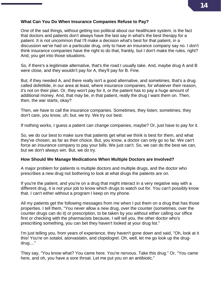#### **What Can You Do When Insurance Companies Refuse to Pay?**

One of the sad things, without getting too political about our healthcare system, is the fact that doctors and patients don't always have the last say in what's the best therapy for a patient. It is not uncommon that I'll make a decision what's best for that patient, in a discussion we've had on a particular drug, only to have an insurance company say no. I don't think insurance companies have the right to do that, frankly, but I don't make the rules, right? And, you get into those situations.

So, if there's a legitimate alternative, that's the road I usually take. And, maybe drug A and B were close, and they wouldn't pay for A, they'll pay for B. Fine.

But, if they needed A, and there really isn't a good alternative, and sometimes, that's a drug called dofetilide, in our area at least, where insurance companies, for whatever their reason, it's not on their plan. Or, they won't pay for it, or the patient has to pay a huge amount of additional money. And, that may be, in that patient, really the drug I want them on. Then, then, the war starts, okay?

Then, we have to call the insurance companies. Sometimes, they listen; sometimes, they don't care, you know, uh; but, we try. We try our best.

If nothing works, I guess a patient can change companies, maybe? Or, just have to pay for it.

So, we do our best to make sure that patients get what we think is best for them, and what they've chosen, as far as their choice. But, you know, a doctor can only go so far. We can't force an insurance company to pay your bills. We just can't. So, we can do the best we can, but we don't always win. But, we do try.

#### **How Should We Manage Medications When Multiple Doctors are Involved?**

A major problem for patients is multiple doctors and multiple drugs, and the doctor who prescribes a new drug not bothering to look at what drugs the patients are on.

If you're the patient, and you're on a drug that might interact in a very negative way with a different drug, it is not your job to know which drugs to watch out for. You can't possibly know that. I can't either without a program I keep on my phone.

All my patients get the following messages from me when I put them on a drug that has those properties. I tell them, "You never allow a new drug, over the counter (sometimes, over the counter drugs can do it) or prescription, to be taken by you without either calling our office first or checking with the pharmacists because, I will tell you, the other doctor who's prescribing something, you can bet they haven't looked at your drug list."

I'm just telling you, from years of experience, they haven't gone down and said, "Oh, look at it this! You're on sotalol, atorvastatin, and clopidogrel. Oh, well, let me go look up the drugdrug...."

They say, "You know what? You came here. You're nervous. Take this drug." Or, "You came here, and oh, you have a sore throat. Let me put you on an antibiotic."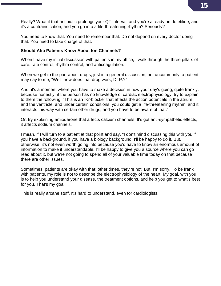**15**

Really? What if that antibiotic prolongs your QT interval, and you're already on dofetilide, and it's a contraindication, and you go into a life-threatening rhythm? Seriously?

You need to know that. You need to remember that. Do not depend on every doctor doing that. You need to take charge of that.

#### **Should Afib Patients Know About Ion Channels?**

When I have my initial discussion with patients in my office, I walk through the three pillars of care: rate control, rhythm control, and anticoagulation.

When we get to the part about drugs, just in a general discussion, not uncommonly, a patient may say to me, "Well, how does that drug work, Dr P.?"

And, it's a moment where you have to make a decision in how your day's going, quite frankly, because honestly, if the person has no knowledge of cardiac electrophysiology, try to explain to them the following: "This is an IKr-blocker that affects the action potentials in the atrium and the ventricle, and under certain conditions, you could get a life-threatening rhythm, and it interacts this way with certain other drugs, and you have to be aware of that."

Or, try explaining amiodarone that affects calcium channels. It's got anti-sympathetic effects, it affects sodium channels.

I mean, if I will turn to a patient at that point and say, "I don't mind discussing this with you if you have a background, if you have a biology background, I'll be happy to do it. But, otherwise, it's not even worth going into because you'd have to know an enormous amount of information to make it understandable. I'll be happy to give you a source where you can go read about it, but we're not going to spend all of your valuable time today on that because there are other issues."

Sometimes, patients are okay with that; other times, they're not. But, I'm sorry. To be frank with patients, my role is not to describe the electrophysiology of the heart. My goal, with you, is to help you understand your disease, the treatment options, and help you get to what's best for you. That's my goal.

This is really arcane stuff. It's hard to understand, even for cardiologists.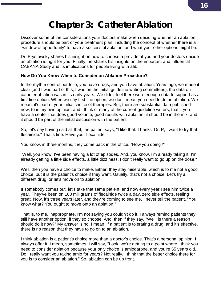# **Chapter 3: Catheter Ablation**

Discover some of the considerations your doctors make when deciding whether an ablation procedure should be part of your treatment plan, including the concept of whether there is a "window of opportunity" to have a successful ablation, and what your other options might be.

Dr. Prystowsky shares his insight on how to choose a provider if you and your doctors decide an ablation is right for you. Finally, he shares his insights on the important and influential CABANA Study and its implications for people living with afib.

#### **How Do You Know When to Consider an Ablation Procedure?**

In the rhythm control portfolio, you have drugs, and you have ablation. Years ago, we made it clear (and I was part of this; I was on the initial guideline writing committees), the data on catheter ablation was in its early years. We didn't feel there were enough data to support as a first line option. When we say first line option, we don't mean you need to do an ablation. We mean, it's part of your initial choice of therapies. But, there are substantial data published now, to in my own opinion, and I think of many of the current guideline writers, that if you have a center that does good volume, good results with ablation, it should be in the mix, and it should be part of the initial discussion with the patient.

So, let's say having said all that, the patient says, "I like that. Thanks, Dr. P, I want to try that flecainide." That's fine. Have your flecainide.

You know, in three months, they come back in the office. "How you doing?"

"Well, you know, I've been having a lot of episodes. And, you know, I'm already taking it. I'm already getting a little side effects, a little dizziness. I don't really want to go up on the dose."

Well, then you have a choice to make. Either, they stay miserable, which is to me not a good choice, but it is the patient's choice if they want. Usually, that's not a choice. Let's try a different drug, or let's move on to ablation.

If somebody comes out, let's take that same patient, and now every year I see him twice a year. They've been on 100 milligrams of flecainide twice a day, zero side effects, feeling great. Now, it's three years later, and they're coming to see me. I never tell the patient, "You know what? You ought to move onto an ablation."

That is, to me, inappropriate. I'm not saying you couldn't do it. I always remind patients they still have another option, if they so choose. And, then if they say, "Well, is there a reason I should do it now?" My answer is no. I mean, if a patient is tolerating a drug, and it's effective, there is no reason that they have to go on to an ablation.

I think ablation is a patient's choice more than a doctor's choice. That's a personal opinion. I always offer it. I mean, sometimes, I will say, "Look, we're getting to a point where I think you need to consider ablation because your only choice is amiodarone, and you're 55 years old. Do I really want you taking amio for years? Not really. I think that the better choice there for you is to consider an ablation." So, ablation can be up front.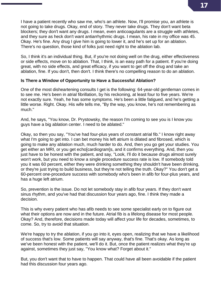I have a patient recently who saw me, who's an athlete. Now, I'll promise you, an athlete is not going to take drugs. Okay, end of story. They never take drugs. They don't want beta blockers; they don't want any drugs. I mean, even anticoagulants are a struggle with athletes, and they sure as heck don't want antiarrhythmic drugs. I mean, his rate in my office was 45. Okay. He's fine. Any drug I give him is going to lower it, and he's set up for an ablation. There's no question, those kind of folks just need right to the ablation lab.

So, I think it's an individual thing. But, if you're not doing well on the drug, either effectiveness or side effects, move on to ablation. That, I think, is an easy path for a patient. If you're doing great, with no side effects, and great efficacy, if you want to get off the drug and take an ablation, fine. If you don't, then don't. I think there's no compelling reason to do an ablation.

#### **Is There a Window of Opportunity to Have a Successful Ablation?**

One of the most disheartening consults I get is the following: 64-year-old gentleman comes in to see me. He's been in atrial fibrillation, by his reckoning, at least four to five years. We're not exactly sure. Yeah, he has some symptoms. He's been a little fatigued, and he's getting a little worse. Right. Okay. His wife tells me, "By the way, you know, he's not remembering as much."

And, he says, "You know, Dr. Prystowsky, the reason I'm coming to see you is I know you guys have a big ablation center. I need to be ablated."

Okay, so then you say, "You've had four-plus years of constant atrial fib." I know right away what I'm going to get into. I can bet money his left atrium is dilated and fibrosed, which is going to make any ablation much, much harder to do. And, then you go get your studies. You get either an MRI, or you get echo[cardiogram]s, and it confirms everything. And, then you just have to be honest with the patient, and say, "Look, I'll do it because drugs almost surely won't work, but you need to know a single procedure success rate is low. If somebody told you it was 60 percent, either they were drinking something they shouldn't have been drinking, or they're just trying to build business, but they're not telling the truth. Okay?" You don't get a 60-percent one-procedure success with somebody who's been in afib for four-plus years, and has a huge left atrium.

So, prevention is the issue. Do not let somebody stay in afib four years. If they don't want sinus rhythm, and you've had that discussion four years ago, fine. I think they made a decision.

This is why every patient who has afib needs to see some specialist early on to figure out what their options are now and in the future. Atrial fib is a lifelong disease for most people. Okay? And, therefore, decisions made today will affect your life for decades, sometimes, to come. So, try to avoid that situation.

We're happy to try the ablation, if you go into it, eyes open, realizing that we have a likelihood of success that's low. Some patients will say anyway, that's fine. That's okay. As long as we've been honest with the patient, we'll do it. But, once the patient realizes what they're up against, sometimes they just say, "You know what? Forget about it."

But, you don't want that to have to happen. That could have all been avoidable if the patient had this discussion four years ago.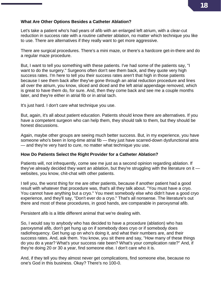#### **What Are Other Options Besides a Catheter Ablation?**

Let's take a patient who's had years of afib with an enlarged left atrium, with a clear-cut reduction in success rate with a routine catheter ablation, no matter which technique you like to use. There are alternatives if they really want to get more aggressive.

There are surgical procedures. There's a mini maze, or there's a hardcore get-in-there and do a regular maze procedure.

But, I want to tell you something with these patients. I've had some of the patients say, "I want to do the surgery." Surgeons often don't see them back, and they quote very high success rates. I'm here to tell you their success rates aren't that high in those patients because I see them back after they've gone through an atrial reduction procedure and lines all over the atrium, you know, sliced and diced and the left atrial appendage removed, which is great to have them do, for sure. And, then they come back and see me a couple months later, and they're either in atrial fib or in atrial tach.

It's just hard. I don't care what technique you use.

But, again, it's all about patient education. Patients should know there are alternatives. If you have a competent surgeon who can help them, they should talk to them, but they should be honest discussions.

Again, maybe other groups are seeing much better success. But, in my experience, you have someone who's been in long-time atrial fib — they just have scarred-down dysfunctional atria — and they're very hard to cure, no matter what technique you use.

#### **How Do Patients Select the Right Provider for a Catheter Ablation?**

Patients will, not infrequently, come see me just as a second opinion regarding ablation. If they've already decided they want an ablation, but they're struggling with the literature on it websites, you know, chit-chat with other patients.

I tell you, the worst thing for me are other patients, because if another patient had a good result with whatever that procedure was, that's all they talk about. "You must have a cryo. You cannot have anything but a cryo." You meet somebody else who didn't have a good cryo experience, and they'll say, "Don't ever do a cryo." That's all nonsense. The literature's out there and most of these procedures, in good hands, are comparable in paroxysmal afib.

Persistent afib is a little different animal that we're dealing with.

So, I would say to anybody who has decided to have a procedure (ablation) who has paroxysmal afib, don't get hung up on if somebody does cryo or if somebody does radiofrequency. Get hung up on who's doing it, and what their numbers are, and their success rates. And, ask them. You know, you sit there and say, "How many of these things do you do a year? What's your success rate been? What's your complication rate?" And, if they're doing 20 or 30 a year, find someone else. I don't care who it is.

And, if they tell you they almost never get complications, find someone else, because no one's God in this business. Okay? There's no 100-0.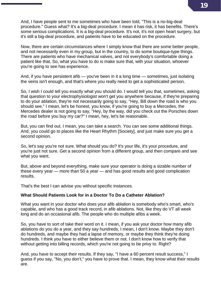And, I have people sent to me sometimes who have been told, "This is a no-big-deal procedure." Guess what? It's a big-deal procedure. I mean it has risk, it has benefits. There's some serious complications. It is a big-deal procedure. It's not, it's not open heart surgery, but it's still a big-deal procedure, and patients have to be educated on the procedure.

Now, there are certain circumstances where I simply know that there are some better people, and not necessarily even in my group, but in the country, to do some boutique-type things. There are patients who have mechanical valves, and not everybody's comfortable doing a patient like that. So, what you have to do is make sure that, with your situation, whoever you're going to see has experience.

And, if you have persistent afib — you've been in it a long time — sometimes, just isolating the veins isn't enough, and that's where you really need to get a sophisticated person.

So, I wish I could tell you exactly what you should do. I would tell you that, sometimes, asking that question to your electrophysiologist won't get you anywhere because, if they're preparing to do your ablation, they're not necessarily going to say, "Hey, Bill down the road is who you should see." I mean, let's be honest, you know, if you're going to buy a Mercedes, the Mercedes dealer is not going to say, "Hey, by the way, did you check out the Porsches down the road before you buy my car?" I mean, hey, let's be reasonable.

But, you can find out. I mean, you can take a search. You can see some additional things. And, you could go to places like the Heart Rhythm [Society], and just make sure you get a second opinion.

So, let's say you're not sure. What should you do? It's your life, it's your procedure, and you're just not sure. Get a second opinion from a different group, and then compare and see what you want.

But, above and beyond everything, make sure your operator is doing a sizable number of these every year — more than 50 a year — and has good results and good complication results.

That's the best I can advise you without specific instances.

### **What Should Patients Look for in a Doctor To Do a Catheter Ablation?**

What you want in your doctor who does your afib ablation is somebody who's smart, who's capable, and who has a good track record, in afib ablations. Not, like they do VT all week long and do an occasional afib. The people who do multiple afibs a week.

So, you have to sort of take their word on it. I mean, if you ask your doctor how many afib ablations do you do a year, and they say hundreds, I mean, I don't know. Maybe they don't do hundreds, and maybe they had a lapse of memory, or maybe they think they're doing hundreds. I think you have to either believe them or not. I don't know how to verify that without getting into billing records, which you're not going to be privy to. Right?

And, you have to accept their results. If they say, "I have a 60 percent result success," I guess if you say, "No, you don't," you have to prove that. I mean, they know what their results are.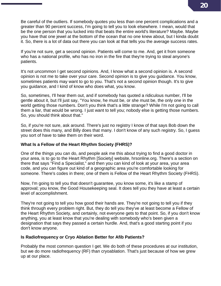Be careful of the outliers. If somebody quotes you less than one percent complications and a greater than 90 percent success, I'm going to tell you to look elsewhere. I mean, would that be the one person that you lucked into that beats the entire world's literature? Maybe. Maybe you have that one jewel at the bottom of the ocean that no one knew about, but I kinda doubt it. So, there is a lot of data out there you can look at that tells you the average success rates.

If you're not sure, get a second opinion. Patients will come to me. And, get it from someone who has a national profile, who has no iron in the fire that they're trying to steal anyone's patients.

It's not uncommon I get second opinions. And, I know what a second opinion is. A second opinion is not me to take over your care. Second opinion is to give you guidance. You know, sometimes patients may want to go to you. That's not a second opinion though. It's to give you guidance, and I kind of know who does what, you know.

So, sometimes, I'll hear them out, and if somebody has quoted a ridiculous number, I'll be gentle about it, but I'll just say, "You know, he must be, or she must be, the only one in the world getting those numbers. Don't you think that's a little strange? While I'm not going to call them a liar, that would be wrong. I just want to tell you; nobody else is getting those numbers. So, you should think about that."

So, if you're not sure, ask around. There's just no registry I know of that says Bob down the street does this many, and Billy does that many. I don't know of any such registry. So, I guess you sort of have to take them on their word.

#### **What Is a Fellow of the Heart Rhythm Society (FHRS)?**

One of the things you can do, and people ask me this about trying to find a good doctor in your area, is to go to the Heart Rhythm [Society] website, hrsonline.org. There's a section on there that says "Find a Specialist," and then you can kind of look at your area, your area code, and you can figure out kind of a geographic area you're comfortable looking for someone. There's codes in there; one of them is Fellow of the Heart Rhythm Society (FHRS).

Now, I'm going to tell you that doesn't guarantee, you know some, it's like a stamp of approval; you know, the Good Housekeeping seal. It does tell you they have at least a certain level of accomplishment.

They're not going to tell you how good their hands are. They're not going to tell you if they think through every problem right. But, they do tell you they've at least become a Fellow of the Heart Rhythm Society, and certainly, not everyone gets to that point. So, if you don't know anything, you at least know that you're dealing with somebody who's been given a designation that says they passed a certain hurdle. And, that's a good starting point if you don't know anyone.

#### **Is Radiofrequency or Cryo Ablation Better for Afib Patients?**

Probably the most common question I get. We do both of these procedures at our institution, but we do more radiofrequency (RF) than cryoablation. That's just because of how we grew up at our place.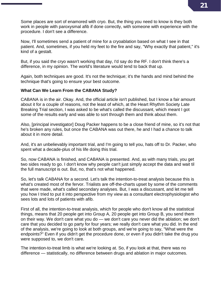Some places are sort of enamored with cryo. But, the thing you need to know is they both work in people with paroxysmal afib if done correctly, with someone with experience with the procedure. I don't see a difference.

Now, I'll sometimes send a patient of mine for a cryoablation based on what I see in that patient. And, sometimes, if you held my feet to the fire and say, "Why exactly that patient," it's kind of a gestalt.

But, if you said the cryo wasn't working that day, I'd say do the RF. I don't think there's a difference, in my opinion. The world's literature would tend to back that up.

Again, both techniques are good. It's not the technique; it's the hands and mind behind the technique that's going to ensure your best outcome.

#### **What Can We Learn From the CABANA Study?**

CABANA is in the air. Okay. And, the official article isn't published, but I know a fair amount about it for a couple of reasons, not the least of which, at the Heart Rhythm Society Late Breaking Trial section, I was asked to be what's called the discussant, which meant I got some of the results early and was able to sort through them and think about them.

Also, [principal investigator] Doug Packer happens to be a close friend of mine, so it's not that he's broken any rules, but once the CABANA was out there, he and I had a chance to talk about it in more detail.

And, it's an unbelievably important trial, and I'm going to tell you, hats off to Dr. Packer, who spent what a decade-plus of his life doing this trial.

So, now CABANA is finished, and CABANA is presented. And, as with many trials, you get two sides ready to go. I don't know why people can't just simply accept the data and wait til the full manuscript is out. But, no, that's not what happened.

So, let's talk CABANA for a second. Let's talk the intention-to-treat analysis because this is what's created most of the fervor. Trialists are off-the-charts upset by some of the comments that were made, what's called secondary analyses. But, I was a discussant, and let me tell you how I tried to put it into perspective from my view as a consultant electrophysiologist who sees lots and lots of patients with afib.

First of all, the intention-to-treat analysis, which for people who don't know all the statistical things, means that 20 people get into Group A, 20 people get into Group B, you send them on their way. We don't care what you do — we don't care you never did the ablation; we don't care that you decided to go party for four years; we really don't care what you did. In the end of the analysis, we're going to look at both groups, and we're going to say, "What were the endpoints?" Even if you didn't get the procedure done, or even if you didn't take the drug you were supposed to, we don't care.

The intention-to-treat limb is what we're looking at. So, if you look at that, there was no difference — statistically, no difference between drugs and ablation in major outcomes.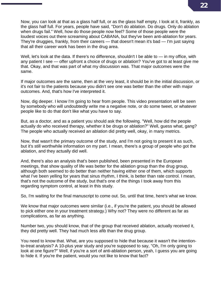Now, you can look at that as a glass half full, or as the glass half empty. I look at it, frankly, as the glass half full. For years, people have said, "Don't do ablation. Do drugs. Only do ablation when drugs fail." Well, how do those people now feel? Some of those people were the loudest voices out there screaming about CABANA, but they've been anti-ablation for years. They're druggies, frankly, from their careers — that doesn't mean it's bad — I'm just saying that all their career work has been in the drug area.

Well, let's look at the data. If there's no difference, shouldn't I be able to — in my office, with any patient I see — offer upfront a choice of drugs or ablation? You've got to at least give me that. Okay, and that was part of what my discussion was. That major outcomes were the same.

If major outcomes are the same, then at the very least, it should be in the initial discussion, or it's not fair to the patients because you didn't see one was better than the other with major outcomes. And, that's how I've interpreted it.

Now, dig deeper. I know I'm going to hear from people. This video presentation will be seen by somebody who will undoubtedly write me a negative note, or do some tweet, or whatever people like to do that don't like what you have to say.

But, as a doctor, and as a patient you should ask the following. "Well, how did the people actually do who received therapy, whether it be drugs or ablation?" Well, guess what, gang? The people who actually received an ablation did pretty well, okay, in many metrics.

Now, that wasn't the primary outcome of the study, and I'm not going to present it as such, but it's still worthwhile information on my part. I mean, there's a group of people who got the ablation, and they actually did well.

And, there's also an analysis that's been published, been presented in the European meetings, that show quality of life was better for the ablation group than the drug group, although both seemed to do better than neither having either one of them, which supports what I've been yelling for years that sinus rhythm, I think, is better than rate control. I mean, that's not the outcome of the study, but that's one of the things I took away from this regarding symptom control, at least in this study.

So, I'm waiting for the final manuscript to come out. So, until that time, here's what we know.

We know that major outcomes were similar (i.e., if you're the patient, you should be allowed to pick either one in your treatment strategy.) Why not? They were no different as far as complications, as far as anything.

Number two, you should know, that of the group that received ablation, actually received it, they did pretty well. They had much less afib than the drug group.

You need to know that. What, are you supposed to hide that because it wasn't the intentionto-treat analysis? A 10-plus year study and you're supposed to say, "Oh, I'm only going to look at one figure?" Well, if you're a sort of anti-ablation person, yeah, I guess you are going to hide it. If you're the patient, would you not like to know that fact?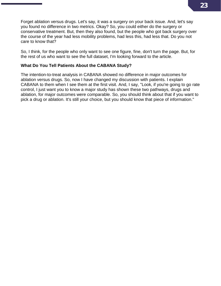Forget ablation versus drugs. Let's say, it was a surgery on your back issue. And, let's say you found no difference in two metrics. Okay? So, you could either do the surgery or conservative treatment. But, then they also found, but the people who got back surgery over the course of the year had less mobility problems, had less this, had less that. Do you not care to know that?

So, I think, for the people who only want to see one figure, fine, don't turn the page. But, for the rest of us who want to see the full dataset, I'm looking forward to the article.

#### **What Do You Tell Patients About the CABANA Study?**

The intention-to-treat analysis in CABANA showed no difference in major outcomes for ablation versus drugs. So, now I have changed my discussion with patients. I explain CABANA to them when I see them at the first visit. And, I say, "Look, if you're going to go rate control, I just want you to know a major study has shown these two pathways, drugs and ablation, for major outcomes were comparable. So, you should think about that if you want to pick a drug or ablation. It's still your choice, but you should know that piece of information."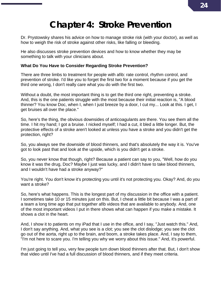# **Chapter 4: Stroke Prevention**

Dr. Prystowsky shares his advice on how to manage stroke risk (with your doctor), as well as how to weigh the risk of stroke against other risks, like falling or bleeding.

He also discusses stroke prevention devices and how to know whether they may be something to talk with your clinicians about.

### **What Do You Have to Consider Regarding Stroke Prevention?**

There are three limbs to treatment for people with afib: rate control, rhythm control, and prevention of stroke. I'd like you to forget the first two for a moment because if you get the third one wrong, I don't really care what you do with the first two.

Without a doubt, the most important thing is to get the third one right, preventing a stroke. And, this is the one patients struggle with the most because their initial reaction is, "A blood thinner? You know Doc, when I, when I just breeze by a door, I cut my... Look at this. I get, I get bruises all over the place."

So, here's the thing, the obvious downsides of anticoagulants are there. You see them all the time. I hit my hand; I got a bruise. I nicked myself; I had a cut, it bled a little longer. But, the protective effects of a stroke aren't looked at unless you have a stroke and you didn't get the protection, right?

So, you always see the downside of blood thinners, and that's absolutely the way it is. You've got to look past that and look at the upside, which is you didn't get a stroke.

So, you never know that though, right? Because a patient can say to you, "Well, how do you know it was the drug, Doc? Maybe I just was lucky, and I didn't have to take blood thinners, and I wouldn't have had a stroke anyway?"

You're right. You don't know it's protecting you until it's not protecting you. Okay? And, do you want a stroke?

So, here's what happens. This is the longest part of my discussion in the office with a patient. I sometimes take 10 or 15 minutes just on this. But, I cheat a little bit because I was a part of a team a long time ago that put together afib videos that are available to anybody. And, one of the most important videos I put in there shows what can happen if you make a mistake. It shows a clot in the heart.

And, I show it to patients on my iPad that I use in the office, and I say, "Just watch this." And, I don't say anything. And, what you see is a clot; you see the clot dislodge; you see the clot go out of the aorta, right up to the brain, and boom, a stroke takes place. And, I say to them, "I'm not here to scare you. I'm telling you why we worry about this issue." And, it's powerful.

I'm just going to tell you, very few people turn down blood thinners after that. But, I don't show that video until I've had a full discussion of blood thinners, and if they meet criteria.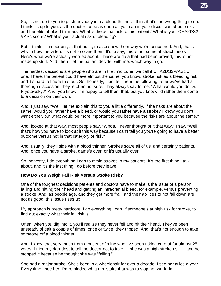So, it's not up to you to push anybody into a blood thinner. I think that's the wrong thing to do. I think it's up to you, as the doctor, to be as open as you can in your discussion about risks and benefits of blood thinners. What is the actual risk to this patient? What is your CHA2DS2- VASc score? What is your actual risk of bleeding?

But, I think it's important, at that point, to also show them why we're concerned. And, that's why I show the video. It's not to scare them. It's to say, this is not some abstract theory. Here's what we're actually worried about. These are data that had been proved; this is not made up stuff. And, then I let the patient decide, with me, which way to go.

The hardest decisions are people who are in that mid zone, we call it CHA2DS2-VASc of one. There, the patient could have almost the same, you know, stroke risk as a bleeding risk, and it's hard to figure that out. So, honestly, I just tell them the following, after we've had a thorough discussion, they're often not sure. They always say to me, "What would you do Dr. Prystowsky?" And, you know, I'm happy to tell them that, but you know, I'd rather them come to a decision on their own.

And, I just say, "Well, let me explain this to you a little differently. If the risks are about the same, would you rather have a bleed, or would you rather have a stroke? I know you don't want either, but what would be more important to you because the risks are about the same."

And, looked at that way, most people say, "Whoa, I never thought of it that way." I say, "Well, that's how you have to look at it this way because I can't tell you you're going to have a better outcome versus not in that category of risk."

And, usually, they'll side with a blood thinner. Strokes scare all of us, and certainly patients. And, once you have a stroke, game's over, or it's usually over.

So, honestly, I do everything I can to avoid strokes in my patients. It's the first thing I talk about, and it's the last thing I do before they leave.

#### **How Do You Weigh Fall Risk Versus Stroke Risk?**

One of the toughest decisions patients and doctors have to make is the issue of a person falling and hitting their head and getting an intracranial bleed, for example, versus preventing a stroke. And, as people age, and they get more frail, and their abilities to not fall down are not as good, this issue rises up.

My approach is pretty hardcore. I do everything I can, if someone's at high risk for stroke, to find out exactly what their fall risk is.

Often, when you dig into it, you'll realize they never fell and hit their head. They've been unsteady of gait a couple of times; once or twice, they tripped. And, that's not enough to take someone off a blood thinner.

And, I know that very much from a patient of mine who I've been taking care of for almost 25 years. I tried my darndest to tell the doctor not to take — she was a high stroke risk — and he stopped it because he thought she was "falling."

She had a major stroke. She's been in a wheelchair for over a decade. I see her twice a year. Every time I see her, I'm reminded what a mistake that was to stop her warfarin.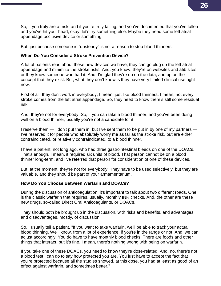So, if you truly are at risk, and if you're truly falling, and you've documented that you've fallen and you've hit your head, okay, let's try something else. Maybe they need some left atrial appendage occlusive device or something.

But, just because someone is "unsteady" is not a reason to stop blood thinners.

### **When Do You Consider a Stroke Prevention Device?**

A lot of patients read about these new devices we have; they can go plug up the left atrial appendage and minimize the stroke risks. And, you know, they're on websites and afib sites, or they know someone who had it. And, I'm glad they're up on the data, and up on the concept that they exist. But, what they don't know is they have very limited clinical use right now.

First of all, they don't work in everybody; I mean, just like blood thinners. I mean, not every stroke comes from the left atrial appendage. So, they need to know there's still some residual risk.

And, they're not for everybody. So, if you can take a blood thinner, and you've been doing well on a blood thinner, usually you're not a candidate for it.

I reserve them — I don't put them in, but I've sent them to be put in by one of my partners -I've reserved it for people who absolutely worry me as far as the stroke risk, but are either contraindicated, or relatively contraindicated, to a blood thinner.

I have a patient, not long ago, who had three gastrointestinal bleeds on one of the DOACs. That's enough. I mean, it required six units of blood. That person cannot be on a blood thinner long-term, and I've referred that person for consideration of one of these devices.

But, at the moment, they're not for everybody. They have to be used selectively, but they are valuable, and they should be part of your armamentarium.

### **How Do You Choose Between Warfarin and DOACs?**

During the discussion of anticoagulation, it's important to talk about two different roads. One is the classic warfarin that requires, usually, monthly INR checks. And, the other are these new drugs, so-called Direct Oral Anticoagulants, or DOACs.

They should both be brought up in the discussion, with risks and benefits, and advantages and disadvantages, mostly, of discussion.

So, I usually tell a patient, "If you want to take warfarin, we'll be able to track your actual blood thinning. We'll know, from a lot of experience, if you're in the range or not. And, we can adjust accordingly. You do have to have monthly blood checks. There are foods and other things that interact, but it's fine. I mean, there's nothing wrong with being on warfarin.

If you take one of these DOACs, you need to know they're dose-related. And, no, there's not a blood test I can do to say how protected you are. You just have to accept the fact that you're protected because all the studies showed, at this dose, you had at least as good of an effect against warfarin, and sometimes better."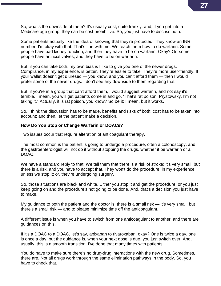So, what's the downside of them? It's usually cost, quite frankly; and, if you get into a Medicare age group, they can be cost prohibitive. So, you just have to discuss both.

Some patients actually like the idea of knowing that they're protected. They know an INR number. I'm okay with that. That's fine with me. We teach them how to do warfarin. Some people have bad kidney function, and then they have to be on warfarin. Okay? Or, some people have artificial valves, and they have to be on warfarin.

But, if you can take both, my own bias is I like to give you one of the newer drugs. Compliance, in my experience, is better. They're easier to take. They're more user-friendly. If your wallet doesn't get diuresed — you know, and you can't afford them — then I would prefer some of the newer drugs. I don't see any downside to them regarding that.

But, if you're in a group that can't afford them, I would suggest warfarin, and not say it's terrible. I mean, you will get patients come in and go, "That's rat poison, Prystowsky. I'm not taking it." Actually, it is rat poison, you know? So be it; I mean, but it works.

So, I think the discussion has to be made, benefits and risks of both; cost has to be taken into account; and then, let the patient make a decision.

#### **How Do You Stop or Change Warfarin or DOACs?**

Two issues occur that require alteration of anticoagulant therapy.

The most common is the patient is going to undergo a procedure, often a colonoscopy, and the gastroenterologist will not do it without stopping the drugs, whether it be warfarin or a DOAC.

We have a standard reply to that. We tell them that there is a risk of stroke; it's very small, but there is a risk, and you have to accept that. They won't do the procedure, in my experience, unless we stop it; or, they're undergoing surgery.

So, those situations are black and white. Either you stop it and get the procedure, or you just keep going on and the procedure's not going to be done. And, that's a decision you just have to make.

My guidance to both the patient and the doctor is, there is a small risk — it's very small, but there's a small risk — and to please minimize time off the anticoagulant.

A different issue is when you have to switch from one anticoagulant to another, and there are guidances on this.

If it's a DOAC to a DOAC, let's say, apixaban to rivaroxaban, okay? One is twice a day, one is once a day, but the guidance is, when your next dose is due, you just switch over. And, usually, this is a smooth transition. I've done that many times with patients.

You do have to make sure there's no drug-drug interactions with the new drug. Sometimes, there are. Not all drugs work through the same elimination pathways in the body. So, you have to check that.